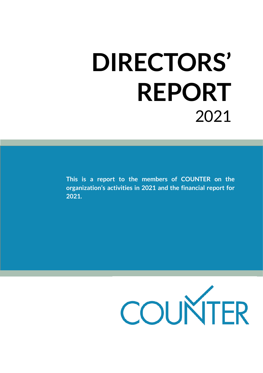# **DIRECTORS' REPORT** 2021

**This is a report to the members of COUNTER on the organization's activities in 2021 and the financial report for 2021.**

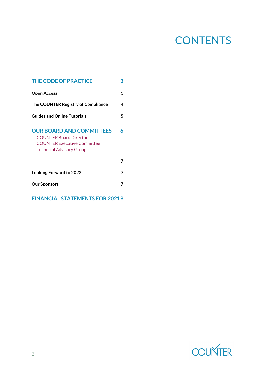# **CONTENTS**

| <b>THE CODE OF PRACTICE</b>                                                                                                                |   |  |
|--------------------------------------------------------------------------------------------------------------------------------------------|---|--|
| <b>Open Access</b>                                                                                                                         | 3 |  |
| The COUNTER Registry of Compliance                                                                                                         | 4 |  |
| <b>Guides and Online Tutorials</b>                                                                                                         | 5 |  |
| <b>OUR BOARD AND COMMITTEES</b><br><b>COUNTER Board Directors</b><br><b>COUNTER Executive Committee</b><br><b>Technical Advisory Group</b> | Á |  |
|                                                                                                                                            | 7 |  |
| <b>Looking Forward to 2022</b>                                                                                                             | 7 |  |
| <b>Our Sponsors</b>                                                                                                                        | 7 |  |
| <b>FINANCIAL STATEMENTS FOR 20219</b>                                                                                                      |   |  |

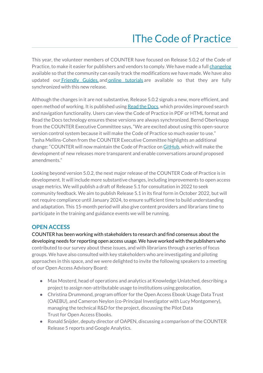# lThe Code of Practice

<span id="page-2-0"></span>This year, the volunteer members of COUNTER have focused on Release 5.0.2 of the Code of Practice, to make it easier for publishers and vendors to comply. We have made a full [changelog](https://cop5.projectcounter.org/en/5.0.2/14-history/index.html?highlight=change%20log) available so that the community can easily track the modifications we have made. We have also updated our [Friendly Guides,](https://www.projectcounter.org/friendly-guides-release-5/) and [online tutorials](https://youtube.com/playlist?list=PL9OAw4zLhfa0bzMLXAfJXGhlbGjG8y_fg) are available so that they are fully synchronized with this new release.

Although the changes in it are not substantive, Release 5.0.2 signals a new, more efficient, and open method of working. It is published using [Read the Docs,](https://readthedocs.org/projects/cop5/) which provides improved search and navigation functionality. Users can view the Code of Practice in PDF or HTML format and Read the Docs technology ensures these versions are always synchronized. Bernd Oberknapp from the COUNTER Executive Committee says, "We are excited about using this open-source version control system because it will make the Code of Practice so much easier to use." Tasha Mellins-Cohen from the COUNTER Executive Committee highlights an additional change: "COUNTER will now maintain the Code of Practice on [GitHub,](https://github.com/Project-Counter) which will make the development of new releases more transparent and enable conversations around proposed amendments."

Looking beyond version 5.0.2, the next major release of the COUNTER Code of Practice is in development. It will include more substantive changes, including improvements to open access usage metrics. We will publish a draft of Release 5.1 for consultation in 2022 to seek community feedback. We aim to publish Release 5.1 in its final form in October 2022, but will not require compliance until January 2024, to ensure sufficient time to build understanding and adaptation. This 15-month period will also give content providers and librarians time to participate in the training and guidance events we will be running.

## <span id="page-2-1"></span>**OPEN ACCESS**

COUNTER has been working with stakeholders to research and find consensus about the developing needs for reporting open access usage. We have worked with the publishers who contributed to our survey about these issues, and with librarians through a series of focus groups. We have also consulted with key stakeholders who are investigating and piloting approaches in this space, and we were delighted to invite the following speakers to a meeting of our Open Access Advisory Board:

- Max Mosterd, head of operations and analytics at Knowledge Unlatched, describing a project to assign non-attributable usage to institutions using geolocation.
- Christina Drummond, program officer for the Open Access Ebook Usage Data Trust (OAEBU), and Cameron Neylon (co-Principal Investigator with Lucy Montgomery), managing the technical R&D for the project, discussing the Pilot Data Trust for Open Access Ebooks.
- Ronald Snijder, deputy director of OAPEN, discussing a comparison of the COUNTER Release 5 reports and Google Analytics.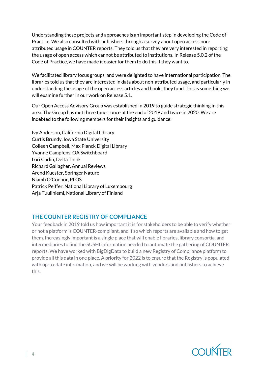Understanding these projects and approaches is an important step in developing the Code of Practice. We also consulted with publishers through a survey about open access nonattributed usage in COUNTER reports. They told us that they are very interested in reporting the usage of open access which cannot be attributed to institutions. In Release 5.0.2 of the Code of Practice, we have made it easier for them to do this if they want to.

We facilitated library focus groups, and were delighted to have international participation. The libraries told us that they are interested in data about non-attributed usage, and particularly in understanding the usage of the open access articles and books they fund. This is something we will examine further in our work on Release 5.1.

Our Open Access Advisory Group was established in 2019 to guide strategic thinking in this area. The Group has met three times, once at the end of 2019 and twice in 2020. We are indebted to the following members for their insights and guidance:

Ivy Anderson, California Digital Library Curtis Brundy, Iowa State University Colleen Campbell, Max Planck Digital Library Yvonne Campfens, OA Switchboard Lori Carlin, Delta Think Richard Gallagher, Annual Reviews Arend Kuester, Springer Nature Niamh O'Connor, PLOS Patrick Peiffer, National Library of Luxembourg Arja Tuuliniemi, National Library of Finland

# <span id="page-3-0"></span>**THE COUNTER REGISTRY OF COMPLIANCE**

Your feedback in 2019 told us how important it is for stakeholders to be able to verify whether or not a platform is COUNTER-compliant, and if so which reports are available and how to get them. Increasingly important is a single place that will enable libraries, library consortia, and intermediaries to find the SUSHI information needed to automate the gathering of COUNTER reports. We have worked with [BigDigData](https://www.bigdigdata.com/) to build a new Registry of Compliance platform to provide all this data in one place. A priority for 2022 is to ensure that the Registry is populated with up-to-date information, and we will be working with vendors and publishers to achieve this.

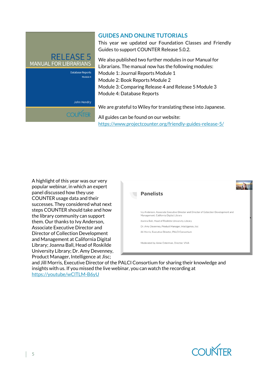

**COUNTER** 

### <span id="page-4-0"></span>**GUIDES AND ONLINE TUTORIALS**

This year we updated our Foundation Classes and Friendly Guides to support COUNTER Release 5.0.2.

We also published two further modules in our Manual for Librarians. The manual now has the following modules: Module 1: Journal Reports Module 1 Module 2: Book Reports Module 2 Module 3: Comparing Release 4 and Release 5 Module 3 Module 4: Database Reports

We are grateful to Wiley for translating these into Japanese.

All guides can be found on our website: <https://www.projectcounter.org/friendly-guides-release-5/>

A highlight of this year was our very popular webinar, in which an expert panel discussed how they use COUNTER usage data and their successes. They considered what next steps COUNTER should take and how the library community can support them. Our thanks to Ivy Anderson, Associate Executive Director and Director of Collection Development and Management at California Digital Library; Joanna Ball, Head of Roskilde University Library; Dr. Amy Devenney, Product Manager, Intelligence at Jisc;



and Jill Morris, Executive Director of the PALCI Consortium for sharing their knowledge and insights with us. If you missed the live webinar, you can watch the recording at [https://youtube/wClTLM-B6yU](https://youtu.be/wClTLM-B6yU)

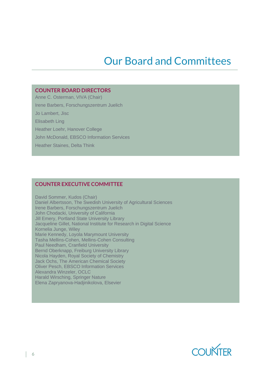# Our Board and Committees

#### <span id="page-5-0"></span>**COUNTER BOARD DIRECTORS**

Anne C. Osterman, VIVA (Chair)

Irene Barbers, Forschungszentrum Juelich

Jo Lambert, Jisc

Elisabeth Ling

Heather Loehr, Hanover College

John McDonald, EBSCO Information Services

Heather Staines, Delta Think

#### **COUNTER EXECUTIVE COMMITTEE**

David Sommer, Kudos (Chair) Daniel Albertsson, The Swedish University of Agricultural Sciences Irene Barbers, Forschungszentrum Juelich John Chodacki, University of California Jill Emery, Portland State University Library Jacqueline Gillet, National Institute for Research in Digital Science Kornelia Junge, Wiley Marie Kennedy, Loyola Marymount University Tasha Mellins-Cohen, Mellins-Cohen Consulting Paul Needham, Cranfield University Bernd Oberknapp, Freiburg University Library Nicola Hayden, Royal Society of Chemistry Jack Ochs, The American Chemical Society Oliver Pesch, EBSCO Information Services Alexandra Winzeler, OCLC Harald Wirsching, Springer Nature Elena Zapryanova-Hadjinikolova, Elsevier

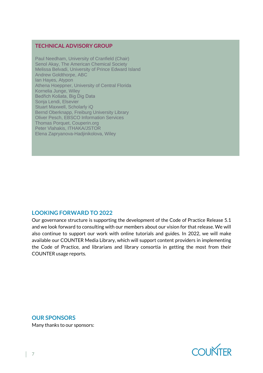#### <span id="page-6-0"></span>**TECHNICAL ADVISORY GROUP**

Paul Needham, University of Cranfield (Chair) Senol Akay, The American Chemical Society Melissa Belvadi, University of Prince Edward Island Andrew Goldthorpe, ABC Ian Hayes, Atypon Athena Hoeppner, University of Central Florida Kornelia Junge, Wiley Bedřich Košata, Big Dig Data Sonja Lendi, Elsevier Stuart Maxwell, Scholarly iQ Bernd Oberknapp, Freiburg University Library Oliver Pesch, EBSCO Information Services Thomas Porquet, Couperin.org Peter Vlahakis, ITHAKA/JSTOR Elena Zapryanova-Hadjinikolova, Wiley

#### <span id="page-6-1"></span>**LOOKING FORWARD TO 2022**

Our governance structure is supporting the development of the Code of Practice Release 5.1 and we look forward to consulting with our members about our vision for that release. We will also continue to support our work with online tutorials and guides. In 2022, we will make available our COUNTER Media Library, which will support content providers in implementing the Code of Practice, and librarians and library consortia in getting the most from their COUNTER usage reports.

<span id="page-6-2"></span>**OUR SPONSORS** Many thanks to our sponsors:

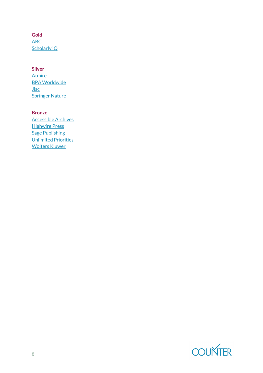**Gold** [ABC](https://www.abc.org.uk/) [Scholarly iQ](https://www.scholarlyiq.com/)

#### **Silver**

[Atmire](https://www.atmire.com/) [BPA Worldwide](https://www.bpaww.com/) [Jisc](https://www.jisc.ac.uk/) [Springer](https://www.springernature.com/gp) Nature

#### **Bronze**

[Accessible Archives](https://www.accessible-archives.com/) **[Highwire Press](https://www.highwirepress.com/)** [Sage Publishing](https://us.sagepub.com/en-us/nam/home) [Unlimited Priorities](https://www.unlimitedpriorities.com/) [Wolters Kluwer](https://www.wolterskluwer.com/en/solutions/ovid)

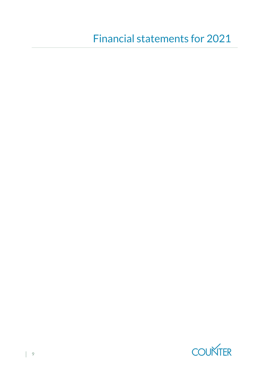<span id="page-8-0"></span>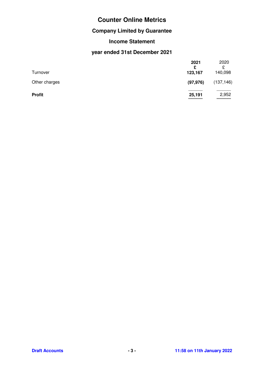# **Counter Online Metrics**

# **Company Limited by Guarantee**

## **Income Statement**

# **year ended 31st December 2021**

|               | 2021<br>£ | 2020<br>£  |
|---------------|-----------|------------|
| Turnover      | 123,167   | 140,098    |
| Other charges | (97, 976) | (137, 146) |
| <b>Profit</b> | 25,191    | 2,952      |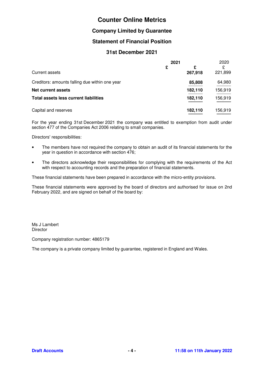# **Counter Online Metrics**

#### **Company Limited by Guarantee**

#### **Statement of Financial Position**

#### **31st December 2021**

|                                                | 2021 |              | 2020         |
|------------------------------------------------|------|--------------|--------------|
| Current assets                                 | £    | £<br>267,918 | £<br>221,899 |
| Creditors: amounts falling due within one year |      | 85,808       | 64,980       |
| Net current assets                             |      | 182,110      | 156,919      |
| Total assets less current liabilities          |      | 182,110      | 156,919      |
| Capital and reserves                           |      | 182,110      | 156.919      |

For the year ending 31st December 2021 the company was entitled to exemption from audit under section 477 of the Companies Act 2006 relating to small companies.

---------  ---------

Directors' responsibilities:

- The members have not required the company to obtain an audit of its financial statements for the year in question in accordance with section 476;
- The directors acknowledge their responsibilities for complying with the requirements of the Act with respect to accounting records and the preparation of financial statements.

These financial statements have been prepared in accordance with the micro-entity provisions.

These financial statements were approved by the board of directors and authorised for issue on 2nd February 2022, and are signed on behalf of the board by:

Ms J Lambert **Director** 

Company registration number: 4865179

The company is a private company limited by guarantee, registered in England and Wales.